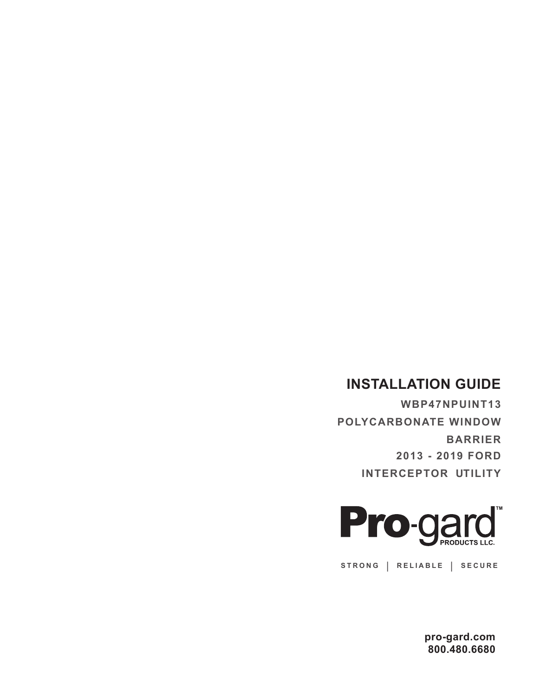## **INSTALLATION GUIDE**

**WBP47NPUINT13 POLYCARBONATE WINDOW BARRIER 2013 - 2019 FORD INTERCEPTOR UTILITY**



**STRONG | RELIABLE | SECURE**

**pro-gard.com 800.480.6680**